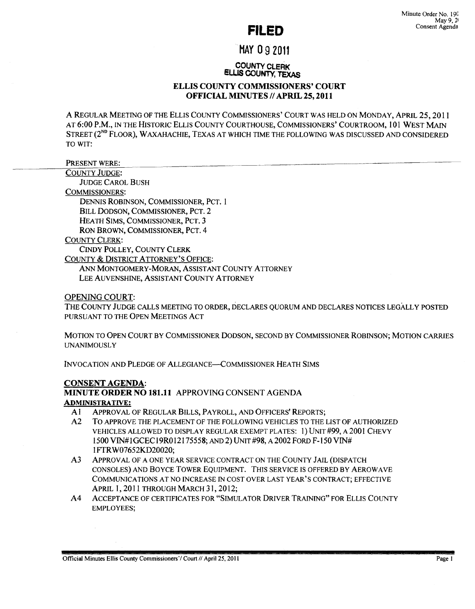# **FILED**

# MAY 0 9 2011

#### COUNTY CLERK ELLIS COUNTY, TEXAS

# ELLIS COUNTY COMMISSIONERS' COURT OFFICIAL MINUTES // APRIL 25, 2011

A REGULAR MEETING OF THE ELLIS COUNTY COMMISSIONERS' COURT WAS HELD ON MONDAY, APRIL 25, 2011 AT 6:00 P.M., IN THE HISTORIC ELLIS COUNTY COURTHOUSE, COMMISSIONERS' COURTROOM, 101 WEST MAIN STREET (2<sup>ND</sup> FLOOR), WAXAHACHIE, TEXAS AT WHICH TIME THE FOLLOWING WAS DISCUSSED AND CONSIDERED TO WIT:

PRESENT WERE:

COUNTY JUDGE:

JUDGE CAROL BUSH

COMMISSIONERS:

DENNIS ROBINSON, COMMISSIONER, PCT. 1

BILL DODSON, COMMISSIONER, PCT. 2

HEATH SIMS, COMMISSIONER, PCT. 3

RON BROWN, COMMISSIONER, PCT. 4

COUNTY CLERK:

CINDY POLLEY, COUNTY CLERK

COUNTY & DISTRICT ATTORNEY'S OFFICE:

ANN MONTGOMERY-MORAN, ASSISTANT COUNTY ATTORNEY LEE AUVENSHINE, ASSISTANT COUNTY ATTORNEY

# OPENING COURT:

THE COUNTY JUDGE CALLS MEETING TO ORDER, DECLARES QUORUM AND DECLARES NOTICES LEGALLY POSTED PURSUANT TO THE OPEN MEETINGS ACT

MOTION TO OPEN COURT BY COMMISSIONER DODSON, SECOND BY COMMISSIONER ROBINSON; MOTION CARRIES **UNANIMOUSLY** 

INVOCATION AND PLEDGE OF ALLEGIANCE-COMMISSIONER HEATH SIMS

# CONSENT AGENDA: MINUTE ORDER NO 181.11 APPROVING CONSENT AGENDA ADMINISTRA TIVE:

- A 1 APPROVAL OF REGULAR BILLS, PAYROLL, AND OFFICERS' REPORTS;
- A2 To APPROVE THE PLACEMENT OF THE FOLLOWING VEHICLES TO THE LIST OF AUTHORIZED VEHICLES ALLOWED TO DISPLAY REGULAR EXEMPT PLATES: 1) UNIT #99, A2001 CHEVY 1500 VIN#IGCECI9ROI2I75558; AND 2) UNIT #98, A 2002 FORD F-I50 VIN# 1 FTRW07652KD20020;
- A3 ApPROVAL OF A ONE YEAR SERVICE CONTRACT ON THE COUNTY JAIL (DISPATCH CONSOLES) AND BOYCE TOWER EQUIPMENT. THIS SERVICE IS OFFERED BY AEROWAVE COMMUNICATIONS AT NO INCREASE IN COST OVER LAST YEAR'S CONTRACT; EFFECTIVE APRIL 1, 2011 THROUGH MARCH 31, 2012;
- A4 ACCEPTANCE OF CERTIFICATES FOR "SIMULATOR DRIVER TRAINING" FOR ELLIS COUNTY EMPLOYEES;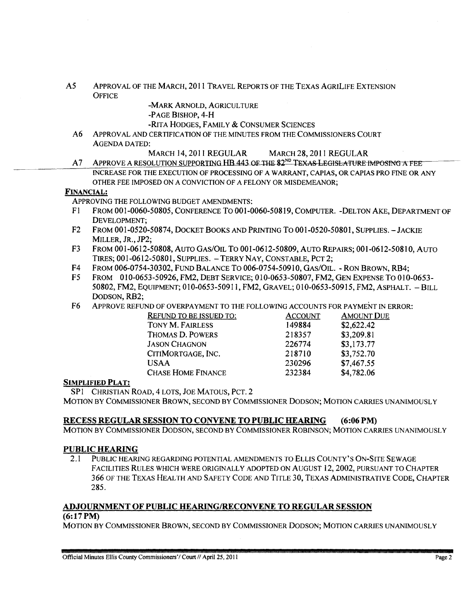A5 APPROVAL OF THE MARCH, 2011 TRAVEL REPORTS OF THE TEXAS AGRILIFE EXTENSION **OFFICE** 

-MARK ARNOLD, AGRICULTURE

-PAGE BISHOP, 4-H

-RITA HODGES, FAMILY & CONSUMER SCIENCES

- A6 APPROVAL AND CERTIFICATION OF THE MINUTES FROM THE COMMISSIONERS COURT AGENDA DATED:
	- MARCH 14, 2011 REGULAR MARCH 28, 2011 REGULAR
- A 7 APPROVE A RESOLUTION SUPPORTING HB 443 OF THE 82<sup>ND</sup> TEXAS LEGISLATURE IMPOSING A FEE INCREASE FOR THE EXECUTION OF PROCESSING OF A WARRANT, CAPIAS, OR CAPIAS PRO FINE OR ANY OTHER FEE IMPOSED ON A CONVICTION OF A FELONY OR MISDEMEANOR;

#### FINANCIAL:

ApPROVING THE FOLLOWING BUDGET AMENDMENTS:

- Fl FROM 001-0060-50805, CONFERENCE To 001-0060-50819, COMPUTER. -DELTON AKE, DEPARTMENT OF DEVELOPMENT;
- F2 FROM 001-0520-50874, DOCKET BOOKS AND PRINTING TO 001-0520-50801, SUPPLIES. JACKIE MILLER, JR., JP2;
- F3 FROM 001-0612-50808, AUTO GAS/OIL To 001-0612-50809, AUTO REPAIRS; 001-0612-50810, AUTO TIRES; 001-0612-50801, SUPPLIES. - TERRY NAY, CONSTABLE, PCT 2;
- F4 FROM 006-0754-30302, FUND BALANCE To 006-0754-50910, GAS/OIL. RON BROWN, RB4;
- F5 FROM 010-0653-50926, FM2, DEBT SERVICE; 010-0653-50807, FM2, GEN EXPENSE To 010-0653- 50802, FM2, EQUIPMENT; 010-0653-50911, FM2, GRAVEL; 010-0653-50915, FM2, ASPHALT. - BILL DODSON, RB2;
- F6 ApPROVE REFUND OF OVERPAYMENT TO THE FOLLOWING ACCOUNTS FOR PAYMENT IN ERROR:

| <b>REFUND TO BE ISSUED TO:</b> | <b>ACCOUNT</b> | <b>AMOUNT DUE</b> |
|--------------------------------|----------------|-------------------|
| TONY M. FAIRLESS               | 149884         | \$2,622.42        |
| THOMAS D. POWERS               | 218357         | \$3,209.81        |
| <b>JASON CHAGNON</b>           | 226774         | \$3,173.77        |
| CITIMORTGAGE, INC.             | 218710         | \$3,752.70        |
| USAA                           | 230296         | \$7,467.55        |
| <b>CHASE HOME FINANCE</b>      | 232384         | \$4,782.06        |

# SIMPLIFIED PLAT:

SPI CHRISTIAN ROAD, 4 LOTS, JOE MATOUS, PCT. 2

MOTION BY COMMISSIONER BROWN, SECOND BY COMMISSIONER DODSON; MOTION CARRIES UNANIMOUSLY

# RECESS REGULAR SESSION TO CONVENE TO PUBLIC HEARING (6:06 PM)

MOTION BY COMMISSIONER DODSON, SECOND BY COMMISSIONER ROBINSON; MOTION CARRIES UNANIMOUSLY

# PUBLIC HEARING

2.1 PUBLIC HEARING REGARDING POTENTIAL AMENDMENTS TO ELLIS COUNTY'S ON-SITE SEWAGE FACILITIES RULES WHICH WERE ORIGINALLY ADOPTED ON AUGUST 12, 2002, PURSUANT TO CHAPTER 366 OF THE TEXAS HEALTH AND SAFETY CODE AND TITLE 30, TEXAS ADMINISTRATIVE CODE, CHAPTER 285.

# ADJOURNMENT OF PUBLIC HEARINGIRECONVENE TO REGULAR SESSION

#### (6:17PM)

MOTION BY COMMISSIONER BROWN, SECOND BY COMMISSIONER DODSON; MOTION CARRIES UNANIMOUSLY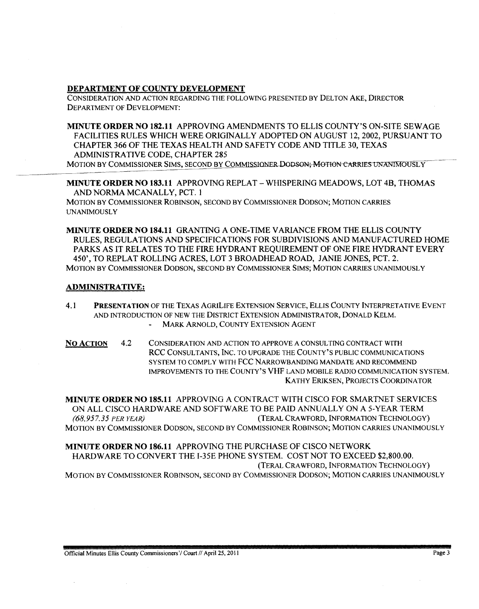# DEPARTMENT OF COUNTY DEVELOPMENT

CONSIDERATION AND ACTION REGARDING THE FOLLOWING PRESENTED BY DELTON AKE, DIRECTOR DEPARTMENT OF DEVELOPMENT:

MINUTE ORDER NO 182.11 APPROVING AMENDMENTS TO ELLIS COUNTY'S ON-SITE SEWAGE FACILITIES RULES WHICH WERE ORIGINALLY ADOPTED ON AUGUST 12,2002, PURSUANT TO CHAPTER 366 OF THE TEXAS HEALTH AND SAFETY CODE AND TITLE 30, TEXAS ADMINISTRATIVE CODE, CHAPTER 285

MOTION BY COMMISSIONER SIMS, SECOND BY COMMISSIONER DODSON; MOTION CARRIES UNANIMOUSLY

MINUTE ORDER NO 183.11 APPROVING REPLAT - WHISPERING MEADOWS, LOT 4B, THOMAS AND NORMA MCANALLY, PCT. 1

MOTION BY COMMISSIONER ROBINSON, SECOND BY COMMISSIONER DODSON; MOTION CARRIES UNANIMOUSLY

MINUTE ORDER NO 184.11 GRANTING A ONE-TIME VARIANCE FROM THE ELLIS COUNTY RULES, REGULATIONS AND SPECIFICATIONS FOR SUBDIVISIONS AND MANUFACTURED HOME PARKS AS IT RELATES TO THE FIRE HYDRANT REQUIREMENT OF ONE FIRE HYDRANT EVERY 450', TO REPLAT ROLLING ACRES, LOT 3 BROADHEAD ROAD, JANIE JONES, PCT. 2. MOTION BY COMMISSIONER DODSON, SECOND BY COMMISSIONER SIMS; MOTION CARRIES UNANIMOUSLY

# ADMINISTRATIVE:

- 4.1 PRESENTATION OF THE TEXAS AGRILIFE EXTENSION SERVICE, ELLIS COUNTY INTERPRETATIVE EVENT AND INTRODUCTION OF NEW THE DISTRICT EXTENSION ADMINISTRATOR, DONALD KELM. MARK ARNOLD, COUNTY EXTENSION AGENT
- NO ACTION 4.2 CONSIDERATION AND ACTION TO APPROVE A CONSULTING CONTRACT WITH RCC CONSULTANTS, INC. TO UPGRADE THE COUNTY'S PUBLIC COMMUNICATIONS SYSTEM TO COMPLY WITH FCC NARROWBANDING MANDATE AND RECOMMEND IMPROVEMENTS TO THE COUNTY'S VHF LAND MOBILE RADIO COMMUNICATION SYSTEM. KATHY ERIKSEN, PROJECTS COORDINATOR

MINUTE ORDER NO 18S.11 APPROVING A CONTRACT WITH CISCO FOR SMARTNET SERVICES ON ALL CISCO HARDWARE AND SOFTWARE TO 8E PAID ANNUALLY ON A 5-YEAR TERM *(68,957.35 PER YEAR)* (TERAL CRAWFORD, INFORMATION TECHNOLOGY) MOTION BY COMMISSIONER DODSON, SECOND BY COMMISSIONER ROBINSON; MOTION CARRIES UNANIMOUSLY

MINUTE ORDER NO 186.11 APPROVING THE PURCHASE OF CISCO NETWORK HARDWARE TO CONVERT THE 1-35E PHONE SYSTEM. COST NOT TO EXCEED \$2,800.00. (TERAL CRA WFORD, INFORMATION TECHNOLOGY) MOTION BY COMMISSIONER ROBINSON, SECOND BY COMMISSIONER DODSON; MOTION CARRIES UNANIMOUSLY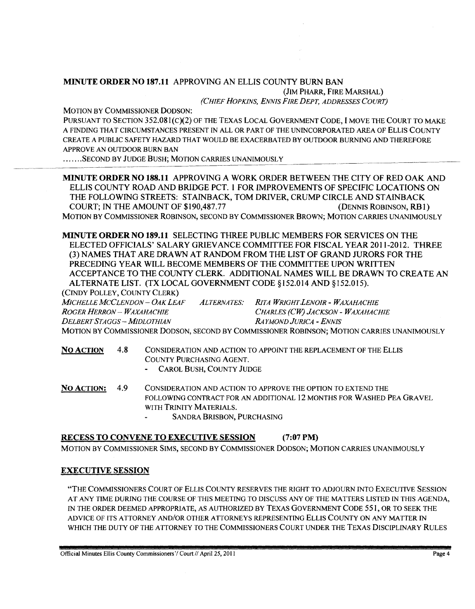# MINUTE ORDER NO 187.11 APPROVING AN ELLIS COUNTY BURN BAN (JIM PHARR, FIRE MARSHAL)

*(CHIEF HOPKINS, ENNIS FIRE DEPT, ADDRESSES COURT)* 

MOTION BY COMMISSIONER DODSON:

PURSUANT TO SECTION 352.081(c)(2) OF THE TEXAS LOCAL GOVERNMENT CODE, I MOVE THE COURT TO MAKE A FINDING THAT CIRCUMSTANCES PRESENT IN ALL OR PART OF THE UNINCORPORATED AREA OF ELLIS COUNTY CREATE A PUBLIC SAFETY HAZARD THAT WOULD BE EXACERBATED BY OUTDOOR BURNING AND THEREFORE APPROVE AN OUTDOOR BURN BAN

....... SECOND BY JUDGE BUSH; MOTION CARRIES UNANIMOUSLY

MINUTE ORDER NO 188.11 APPROVING A WORK ORDER BETWEEN THE CITY OF RED OAK AND ELLIS COUNTY ROAD AND BRIDGE PCT. 1 FOR IMPROVEMENTS OF SPECIFIC LOCATIONS ON THE FOLLOWING STREETS: STAINBACK, TOM DRIVER, CRUMP CIRCLE AND STAINBACK COURT; IN THE AMOUNT OF \$190,487.77 (DENNIS ROBINSON, RB1) MOTION BY COMMISSIONER ROBINSON, SECOND BY COMMISSIONER BROWN; MOTION CARRIES UNANIMOUSLY

MINUTE ORDER NO 189.11 SELECTING THREE PUBLIC MEMBERS FOR SERVICES ON THE ELECTED OFFICIALS' SALARY GRIEVANCE COMMITTEE FOR FISCAL YEAR 2011-2012. THREE (3) NAMES THAT ARE DRAWN AT RANDOM FROM THE LIST OF GRAND JURORS FOR THE PRECEDING YEAR WILL BECOME MEMBERS OF THE COMMITTEE UPON WRITTEN ACCEPTANCE TO THE COUNTY CLERK. ADDITIONAL NAMES WILL BE DRAWN TO CREATE AN ALTERNATE LIST. (TX LOCAL GOVERNMENT CODE §152.014 AND §152.015).

(CINDY POLLEY, COUNTY CLERK)

*MICHELLE MCCLENDON* - *OAK LEAF ALTERNATES: RITA WRIGHT.LENOIR* - *WAXAHACHIE ROGER HERRON* - *WAXAHACHIE CHARLES (CW) JACKSON* - *WAXAHACHIE DELBERTSTAGGS-MIDLOTHIAN RA YMOND JURICA -ENNIS*  MOTION BY COMMISSIONER DODSON, SECOND BY COMMISSIONER ROBINSON; MOTION CARRIES UNANIMOUSLY

NO ACTION 4.8 CONSIDERA TION AND ACTION TO APPOINT THE REPLACEMENT OF THE ELLIS COUNTY PURCHASING AGENT.

CAROL BUSH, COUNTY JUDGE

NO ACTION: 4.9 CONSIDERATION AND ACTION TO APPROVE THE OPTION TO EXTEND THE FOLLOWING CONTRACT FOR AN ADDITIONAL 12 MONTHS FOR WASHED PEA GRAVEL WITH TRINITY MATERIALS.

SANDRA BRISBON, PURCHASING

# RECESS TO CONVENE TO EXECUTIVE SESSION (7:07PM)

MOTION BY COMMISSIONER SIMS, SECOND BY COMMISSIONER DODSON; MOTION CARRIES UNANIMOUSLY

# EXECUTIVE SESSION

"THE COMMISSIONERS COURT OF ELLIS COUNTY RESERVES THE RIGHT TO ADJOURN INTO EXECUTIVE SESSION AT ANY TIME DURING THE COURSE OF THIS MEETING TO DISCUSS ANY OF THE MATTERS LISTED IN THIS AGENDA, IN THE ORDER DEEMED APPROPRIATE, AS AUTHORIZED BY TEXAS GOVERNMENT CODE 551, OR TO SEEK THE ADVICE OF ITS ATTORNEY AND/OR OTHER ATTORNEYS REPRESENTING ELLIS COUNTY ON ANY MATTER IN WHICH THE DUTY OF THE ATTORNEY TO THE COMMISSIONERS COURT UNDER THE TEXAS DISCIPLINARY RULES